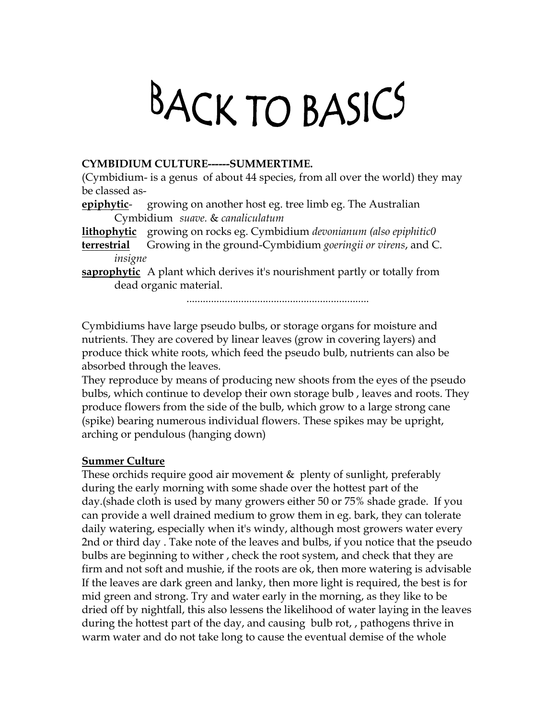## BACK TO BASICS

## **CYMBIDIUM CULTURE------SUMMERTIME.**

(Cymbidium- is a genus of about 44 species, from all over the world) they may be classed as-

**epiphytic**- growing on another host eg. tree limb eg. The Australian Cymbidium *suave.* & *canaliculatum*

**lithophytic** growing on rocks eg. Cymbidium *devonianum (also epiphitic0* **terrestrial** Growing in the ground-Cymbidium *goeringii or virens*, and C.

*insigne*

**saprophytic** A plant which derives it's nourishment partly or totally from dead organic material.

...................................................................

Cymbidiums have large pseudo bulbs, or storage organs for moisture and nutrients. They are covered by linear leaves (grow in covering layers) and produce thick white roots, which feed the pseudo bulb, nutrients can also be absorbed through the leaves.

They reproduce by means of producing new shoots from the eyes of the pseudo bulbs, which continue to develop their own storage bulb , leaves and roots. They produce flowers from the side of the bulb, which grow to a large strong cane (spike) bearing numerous individual flowers. These spikes may be upright, arching or pendulous (hanging down)

## **Summer Culture**

These orchids require good air movement  $\&$  plenty of sunlight, preferably during the early morning with some shade over the hottest part of the day.(shade cloth is used by many growers either 50 or 75% shade grade. If you can provide a well drained medium to grow them in eg. bark, they can tolerate daily watering, especially when it's windy, although most growers water every 2nd or third day . Take note of the leaves and bulbs, if you notice that the pseudo bulbs are beginning to wither , check the root system, and check that they are firm and not soft and mushie, if the roots are ok, then more watering is advisable If the leaves are dark green and lanky, then more light is required, the best is for mid green and strong. Try and water early in the morning, as they like to be dried off by nightfall, this also lessens the likelihood of water laying in the leaves during the hottest part of the day, and causing bulb rot, , pathogens thrive in warm water and do not take long to cause the eventual demise of the whole